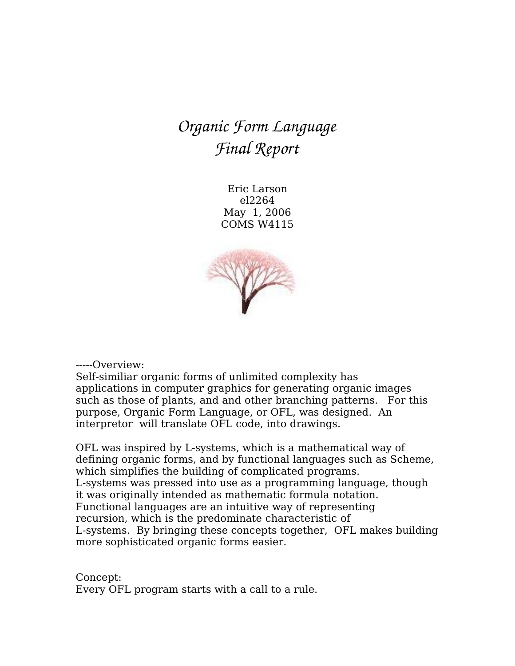# *Organic Form Language Final Report*

Eric Larson el2264 May 1, 2006 COMS W4115



-----Overview:

Self-similiar organic forms of unlimited complexity has applications in computer graphics for generating organic images such as those of plants, and and other branching patterns. For this purpose, Organic Form Language, or OFL, was designed. An interpretor will translate OFL code, into drawings.

OFL was inspired by L-systems, which is a mathematical way of defining organic forms, and by functional languages such as Scheme, which simplifies the building of complicated programs. L-systems was pressed into use as a programming language, though it was originally intended as mathematic formula notation. Functional languages are an intuitive way of representing recursion, which is the predominate characteristic of L-systems. By bringing these concepts together, OFL makes building more sophisticated organic forms easier.

Concept: Every OFL program starts with a call to a rule.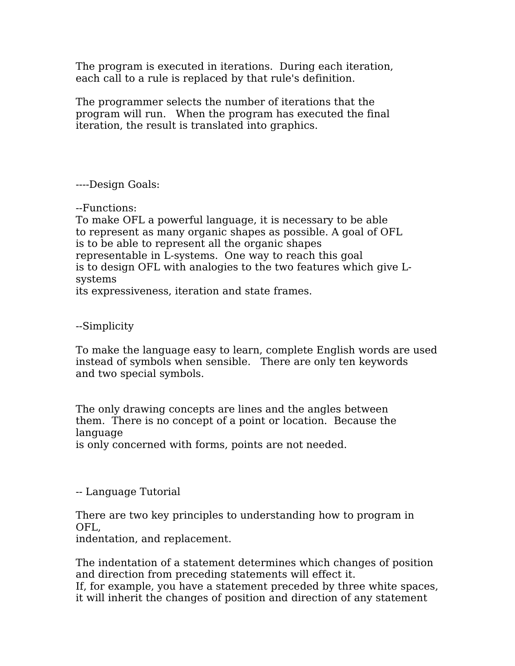The program is executed in iterations. During each iteration, each call to a rule is replaced by that rule's definition.

The programmer selects the number of iterations that the program will run. When the program has executed the final iteration, the result is translated into graphics.

----Design Goals:

--Functions:

To make OFL a powerful language, it is necessary to be able to represent as many organic shapes as possible. A goal of OFL is to be able to represent all the organic shapes representable in L-systems. One way to reach this goal is to design OFL with analogies to the two features which give Lsystems its expressiveness, iteration and state frames.

--Simplicity

To make the language easy to learn, complete English words are used instead of symbols when sensible. There are only ten keywords and two special symbols.

The only drawing concepts are lines and the angles between them. There is no concept of a point or location. Because the language

is only concerned with forms, points are not needed.

-- Language Tutorial

There are two key principles to understanding how to program in OFL,

indentation, and replacement.

The indentation of a statement determines which changes of position and direction from preceding statements will effect it.

If, for example, you have a statement preceded by three white spaces, it will inherit the changes of position and direction of any statement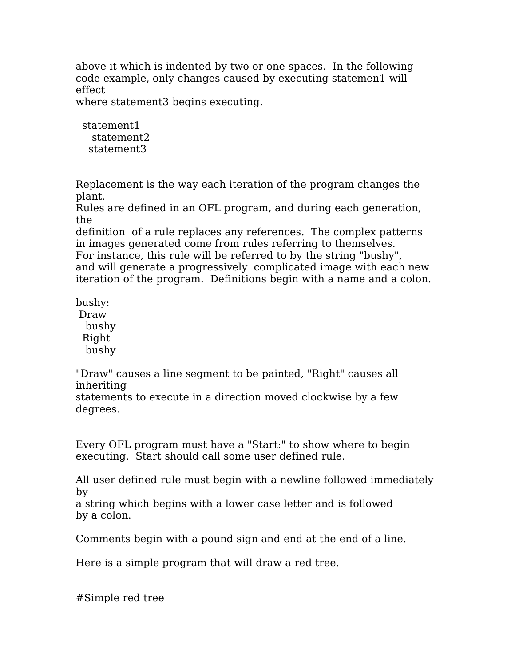above it which is indented by two or one spaces. In the following code example, only changes caused by executing statemen1 will effect

where statement3 begins executing.

statement1 statement2 statement3

Replacement is the way each iteration of the program changes the plant.

Rules are defined in an OFL program, and during each generation, the

definition of a rule replaces any references. The complex patterns in images generated come from rules referring to themselves.

For instance, this rule will be referred to by the string "bushy",

and will generate a progressively complicated image with each new iteration of the program. Definitions begin with a name and a colon.

bushy: Draw bushy

Right bushy

"Draw" causes a line segment to be painted, "Right" causes all inheriting

statements to execute in a direction moved clockwise by a few degrees.

Every OFL program must have a "Start:" to show where to begin executing. Start should call some user defined rule.

All user defined rule must begin with a newline followed immediately by

a string which begins with a lower case letter and is followed by a colon.

Comments begin with a pound sign and end at the end of a line.

Here is a simple program that will draw a red tree.

#Simple red tree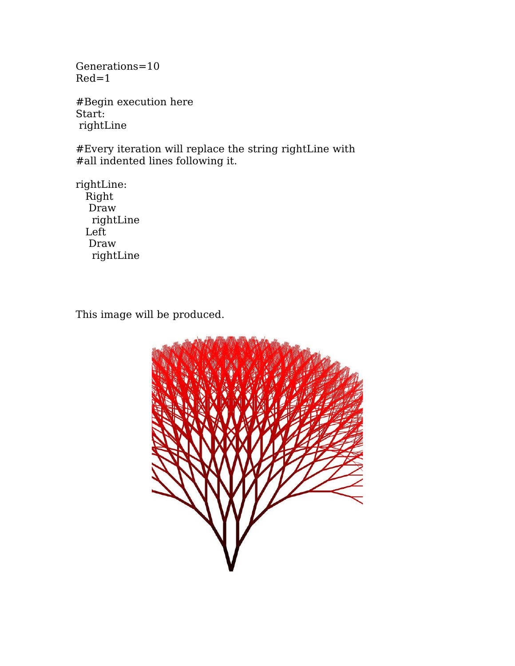Generations=10 Red=1

#Begin execution here Start: rightLine

#Every iteration will replace the string rightLine with #all indented lines following it.

rightLine: Right Draw rightLine Left Draw rightLine

This image will be produced.

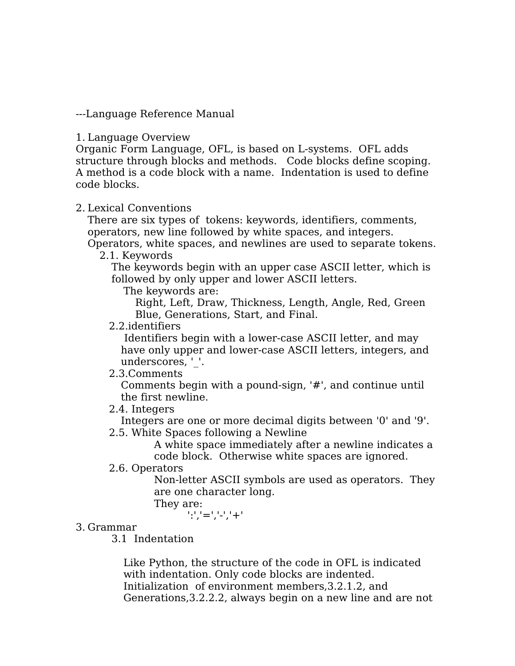---Language Reference Manual

#### 1. Language Overview

Organic Form Language, OFL, is based on L-systems. OFL adds structure through blocks and methods. Code blocks define scoping. A method is a code block with a name. Indentation is used to define code blocks.

#### 2. Lexical Conventions

There are six types of tokens: keywords, identifiers, comments, operators, new line followed by white spaces, and integers.

Operators, white spaces, and newlines are used to separate tokens. 2.1. Keywords

The keywords begin with an upper case ASCII letter, which is followed by only upper and lower ASCII letters.

The keywords are:

Right, Left, Draw, Thickness, Length, Angle, Red, Green Blue, Generations, Start, and Final.

#### 2.2.identifiers

Identifiers begin with a lower-case ASCII letter, and may have only upper and lower-case ASCII letters, integers, and underscores, ' '.

#### 2.3.Comments

Comments begin with a pound-sign, '#', and continue until the first newline.

2.4. Integers

Integers are one or more decimal digits between '0' and '9'.

2.5. White Spaces following a Newline

A white space immediately after a newline indicates a code block. Otherwise white spaces are ignored.

2.6. Operators

Non-letter ASCII symbols are used as operators. They are one character long.

They are:

':','=','-','+'

#### 3. Grammar

3.1 Indentation

Like Python, the structure of the code in OFL is indicated with indentation. Only code blocks are indented. Initialization of environment members,3.2.1.2, and Generations,3.2.2.2, always begin on a new line and are not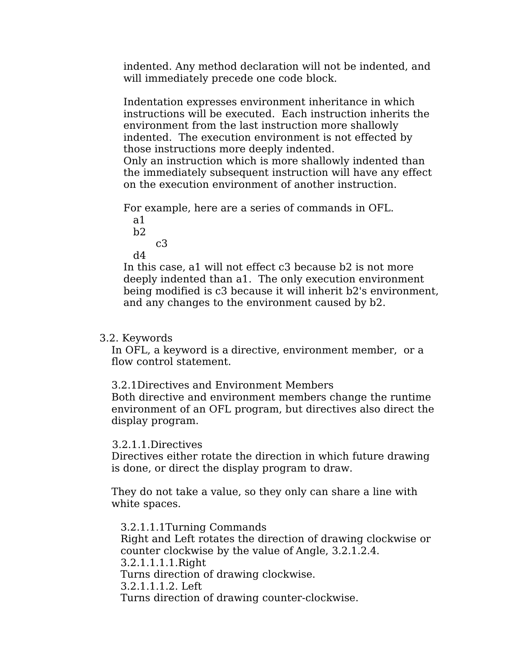indented. Any method declaration will not be indented, and will immediately precede one code block.

Indentation expresses environment inheritance in which instructions will be executed. Each instruction inherits the environment from the last instruction more shallowly indented. The execution environment is not effected by those instructions more deeply indented. Only an instruction which is more shallowly indented than the immediately subsequent instruction will have any effect on the execution environment of another instruction.

For example, here are a series of commands in OFL.

a1  $b2$ 

c3

d4

In this case, a1 will not effect c3 because b2 is not more deeply indented than a1. The only execution environment being modified is c3 because it will inherit b2's environment, and any changes to the environment caused by b2.

### 3.2. Keywords

In OFL, a keyword is a directive, environment member, or a flow control statement.

3.2.1Directives and Environment Members Both directive and environment members change the runtime environment of an OFL program, but directives also direct the display program.

#### 3.2.1.1.Directives

Directives either rotate the direction in which future drawing is done, or direct the display program to draw.

They do not take a value, so they only can share a line with white spaces.

3.2.1.1.1Turning Commands Right and Left rotates the direction of drawing clockwise or counter clockwise by the value of Angle, 3.2.1.2.4. 3.2.1.1.1.1.Right Turns direction of drawing clockwise. 3.2.1.1.1.2. Left Turns direction of drawing counter-clockwise.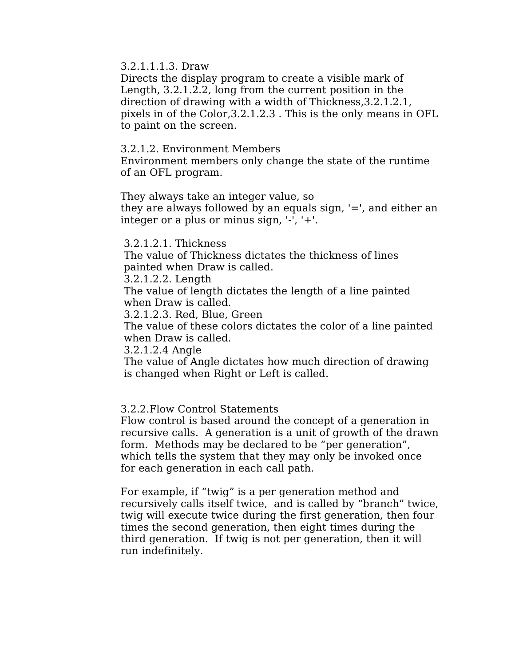3.2.1.1.1.3. Draw

Directs the display program to create a visible mark of Length, 3.2.1.2.2, long from the current position in the direction of drawing with a width of Thickness,3.2.1.2.1, pixels in of the Color,3.2.1.2.3 . This is the only means in OFL to paint on the screen.

3.2.1.2. Environment Members

Environment members only change the state of the runtime of an OFL program.

They always take an integer value, so

they are always followed by an equals sign, '=', and either an integer or a plus or minus sign, '-', '+'.

3.2.1.2.1. Thickness

The value of Thickness dictates the thickness of lines painted when Draw is called.

3.2.1.2.2. Length

The value of length dictates the length of a line painted when Draw is called.

3.2.1.2.3. Red, Blue, Green

The value of these colors dictates the color of a line painted when Draw is called.

3.2.1.2.4 Angle

The value of Angle dictates how much direction of drawing is changed when Right or Left is called.

#### 3.2.2.Flow Control Statements

Flow control is based around the concept of a generation in recursive calls. A generation is a unit of growth of the drawn form. Methods may be declared to be "per generation", which tells the system that they may only be invoked once for each generation in each call path.

For example, if "twig" is a per generation method and recursively calls itself twice, and is called by "branch" twice, twig will execute twice during the first generation, then four times the second generation, then eight times during the third generation. If twig is not per generation, then it will run indefinitely.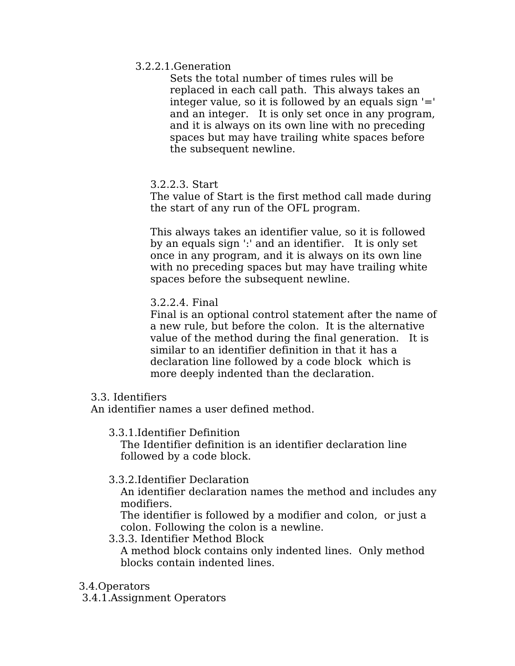## 3.2.2.1.Generation

Sets the total number of times rules will be replaced in each call path. This always takes an integer value, so it is followed by an equals sign  $=$ and an integer. It is only set once in any program, and it is always on its own line with no preceding spaces but may have trailing white spaces before the subsequent newline.

3.2.2.3. Start

The value of Start is the first method call made during the start of any run of the OFL program.

This always takes an identifier value, so it is followed by an equals sign ':' and an identifier. It is only set once in any program, and it is always on its own line with no preceding spaces but may have trailing white spaces before the subsequent newline.

3.2.2.4. Final

Final is an optional control statement after the name of a new rule, but before the colon. It is the alternative value of the method during the final generation. It is similar to an identifier definition in that it has a declaration line followed by a code block which is more deeply indented than the declaration.

# 3.3. Identifiers

An identifier names a user defined method.

3.3.1.Identifier Definition

The Identifier definition is an identifier declaration line followed by a code block.

3.3.2.Identifier Declaration

An identifier declaration names the method and includes any modifiers.

The identifier is followed by a modifier and colon, or just a colon. Following the colon is a newline.

- 3.3.3. Identifier Method Block A method block contains only indented lines. Only method blocks contain indented lines.
- 3.4.Operators

3.4.1.Assignment Operators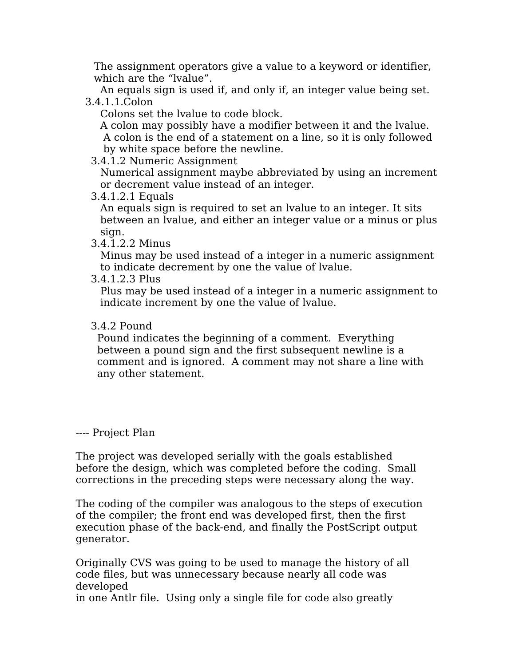The assignment operators give a value to a keyword or identifier, which are the "lvalue".

An equals sign is used if, and only if, an integer value being set. 3.4.1.1.Colon

Colons set the lvalue to code block.

A colon may possibly have a modifier between it and the lvalue. A colon is the end of a statement on a line, so it is only followed by white space before the newline.

3.4.1.2 Numeric Assignment

Numerical assignment maybe abbreviated by using an increment or decrement value instead of an integer.

3.4.1.2.1 Equals

An equals sign is required to set an lvalue to an integer. It sits between an lvalue, and either an integer value or a minus or plus sign.

3.4.1.2.2 Minus

Minus may be used instead of a integer in a numeric assignment to indicate decrement by one the value of lvalue.

3.4.1.2.3 Plus

Plus may be used instead of a integer in a numeric assignment to indicate increment by one the value of lvalue.

# 3.4.2 Pound

Pound indicates the beginning of a comment. Everything between a pound sign and the first subsequent newline is a comment and is ignored. A comment may not share a line with any other statement.

---- Project Plan

The project was developed serially with the goals established before the design, which was completed before the coding. Small corrections in the preceding steps were necessary along the way.

The coding of the compiler was analogous to the steps of execution of the compiler; the front end was developed first, then the first execution phase of the back-end, and finally the PostScript output generator.

Originally CVS was going to be used to manage the history of all code files, but was unnecessary because nearly all code was developed

in one Antlr file. Using only a single file for code also greatly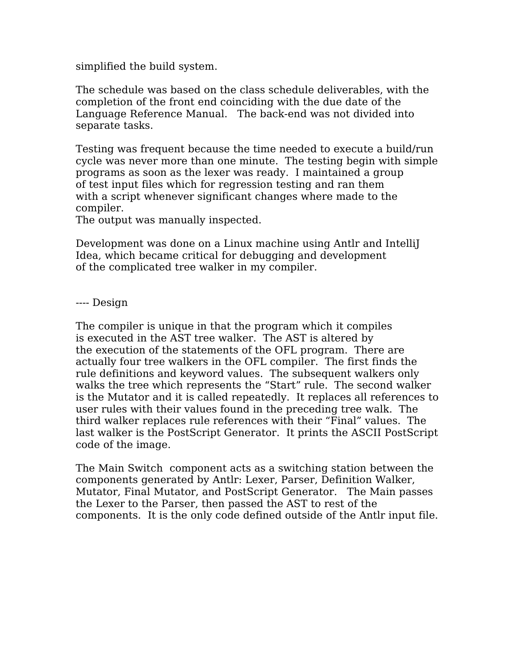simplified the build system.

The schedule was based on the class schedule deliverables, with the completion of the front end coinciding with the due date of the Language Reference Manual. The back-end was not divided into separate tasks.

Testing was frequent because the time needed to execute a build/run cycle was never more than one minute. The testing begin with simple programs as soon as the lexer was ready. I maintained a group of test input files which for regression testing and ran them with a script whenever significant changes where made to the compiler.

The output was manually inspected.

Development was done on a Linux machine using Antlr and IntelliJ Idea, which became critical for debugging and development of the complicated tree walker in my compiler.

---- Design

The compiler is unique in that the program which it compiles is executed in the AST tree walker. The AST is altered by the execution of the statements of the OFL program. There are actually four tree walkers in the OFL compiler. The first finds the rule definitions and keyword values. The subsequent walkers only walks the tree which represents the "Start" rule. The second walker is the Mutator and it is called repeatedly. It replaces all references to user rules with their values found in the preceding tree walk. The third walker replaces rule references with their "Final" values. The last walker is the PostScript Generator. It prints the ASCII PostScript code of the image.

The Main Switch component acts as a switching station between the components generated by Antlr: Lexer, Parser, Definition Walker, Mutator, Final Mutator, and PostScript Generator. The Main passes the Lexer to the Parser, then passed the AST to rest of the components. It is the only code defined outside of the Antlr input file.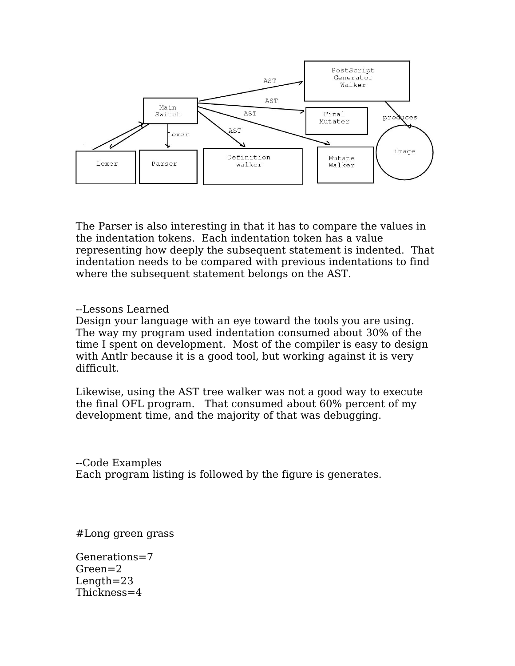

The Parser is also interesting in that it has to compare the values in the indentation tokens. Each indentation token has a value representing how deeply the subsequent statement is indented. That indentation needs to be compared with previous indentations to find where the subsequent statement belongs on the AST.

--Lessons Learned

Design your language with an eye toward the tools you are using. The way my program used indentation consumed about 30% of the time I spent on development. Most of the compiler is easy to design with Antlr because it is a good tool, but working against it is very difficult.

Likewise, using the AST tree walker was not a good way to execute the final OFL program. That consumed about 60% percent of my development time, and the majority of that was debugging.

--Code Examples Each program listing is followed by the figure is generates.

#Long green grass

Generations=7 Green=2 Length=23 Thickness=4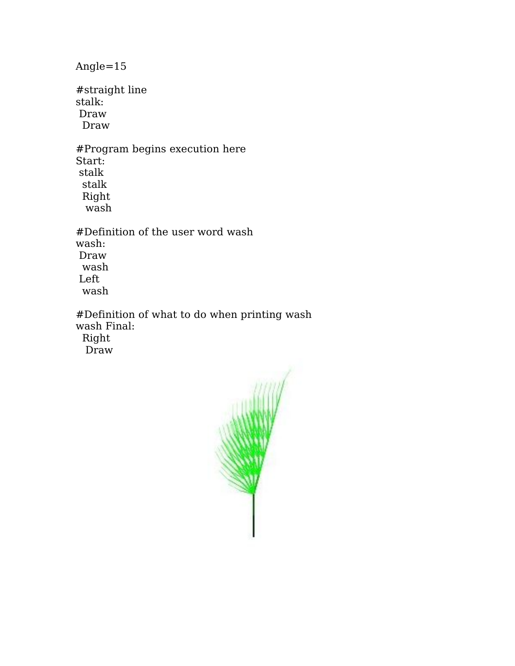Angle=15

#straight line stalk: Draw Draw

#Program begins execution here Start: stalk stalk Right wash

#Definition of the user word wash wash: Draw wash Left wash

#Definition of what to do when printing wash wash Final:

Right

Draw

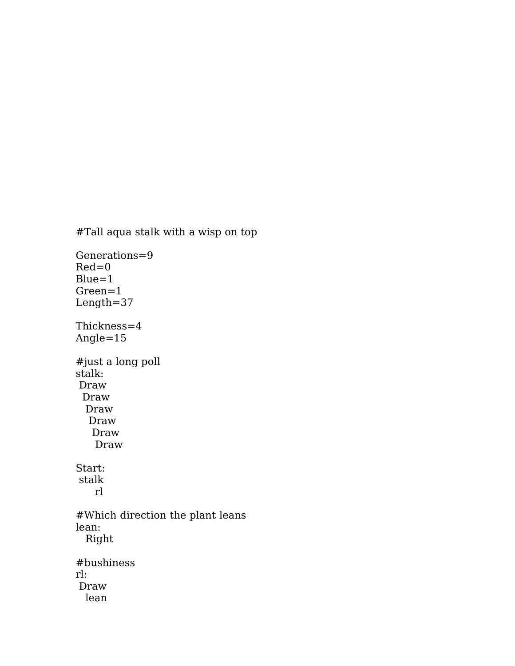#Tall aqua stalk with a wisp on top

Generations=9  $Red=0$  $Blue=1$ Green=1 Length=37 Thickness=4 Angle=15 #just a long poll stalk: Draw Draw Draw Draw Draw Draw Start: stalk rl #Which direction the plant leans lean: Right #bushiness rl: Draw lean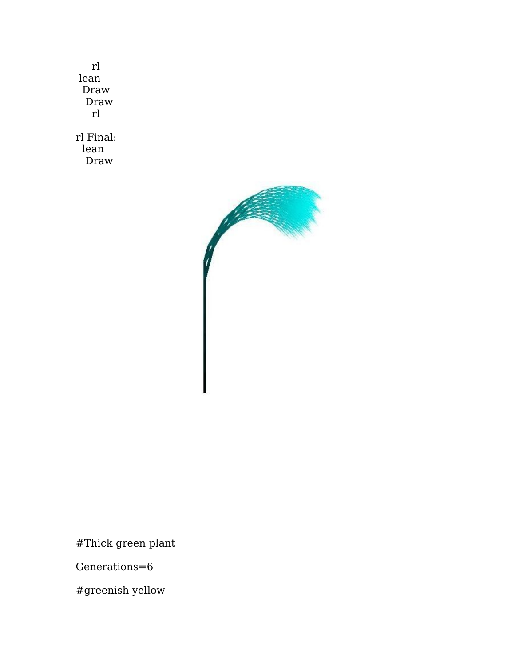rl lean Draw Draw rl rl Final: lean Draw



#Thick green plant

Generations=6

#greenish yellow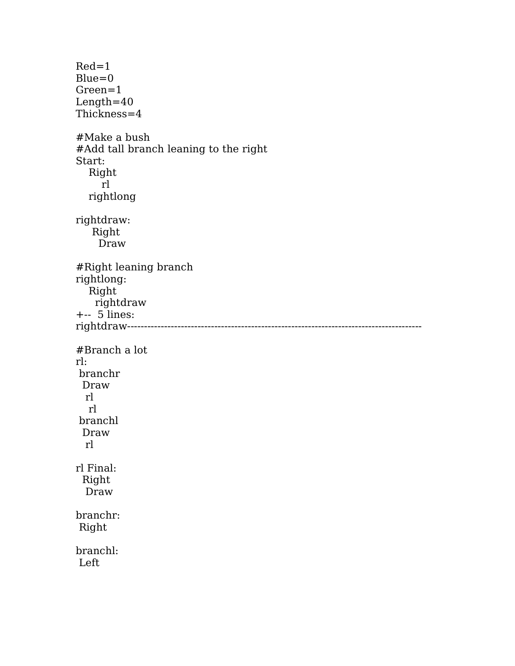Red=1  $Blue=0$ Green=1 Length=40 Thickness=4 #Make a bush #Add tall branch leaning to the right Start: Right rl rightlong rightdraw: Right Draw #Right leaning branch rightlong: Right rightdraw +-- 5 lines: rightdraw---------------------------------------------------------------------------------------- #Branch a lot rl: branchr Draw rl rl branchl Draw rl rl Final: Right Draw branchr: Right branchl: Left